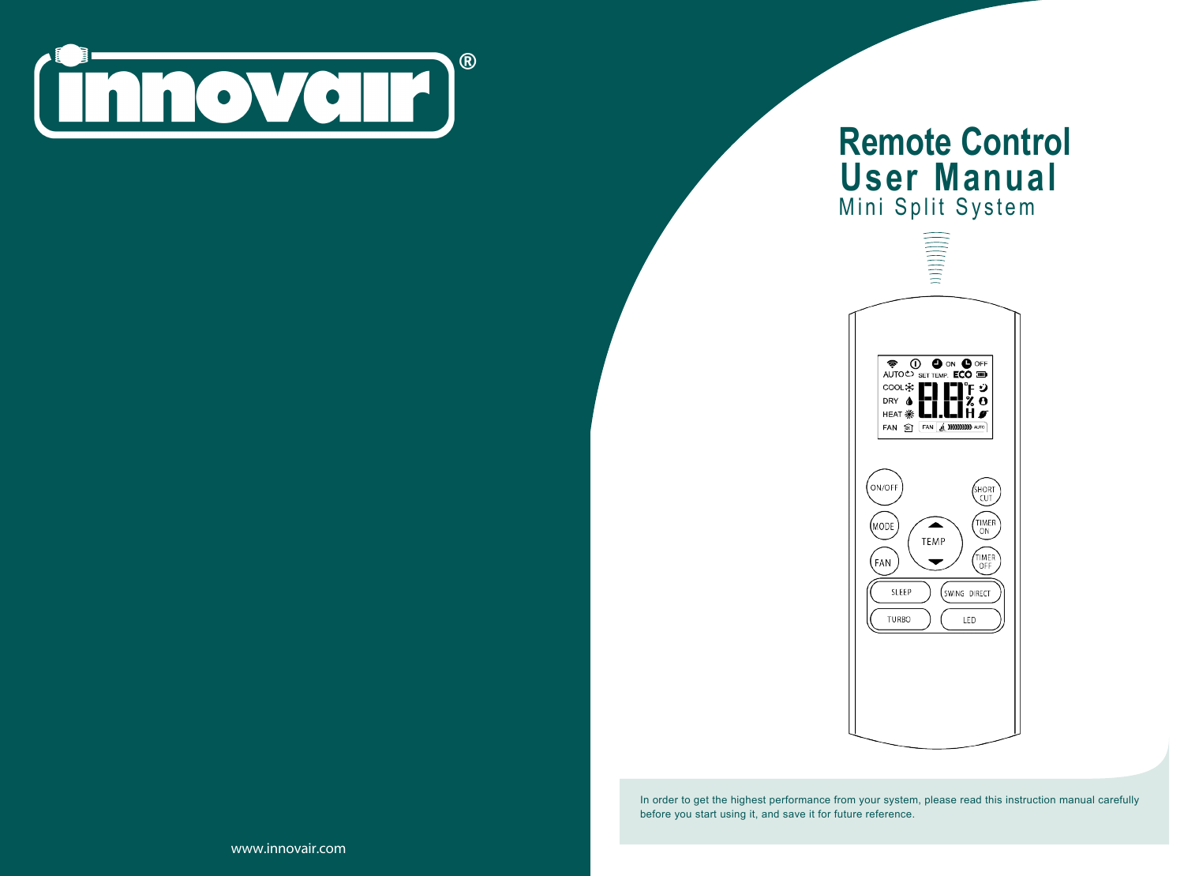

# **Remote Control User Manual** Mini Split System



In order to get the highest performance from your system, please read this instruction manual carefully before you start using it, and save it for future reference.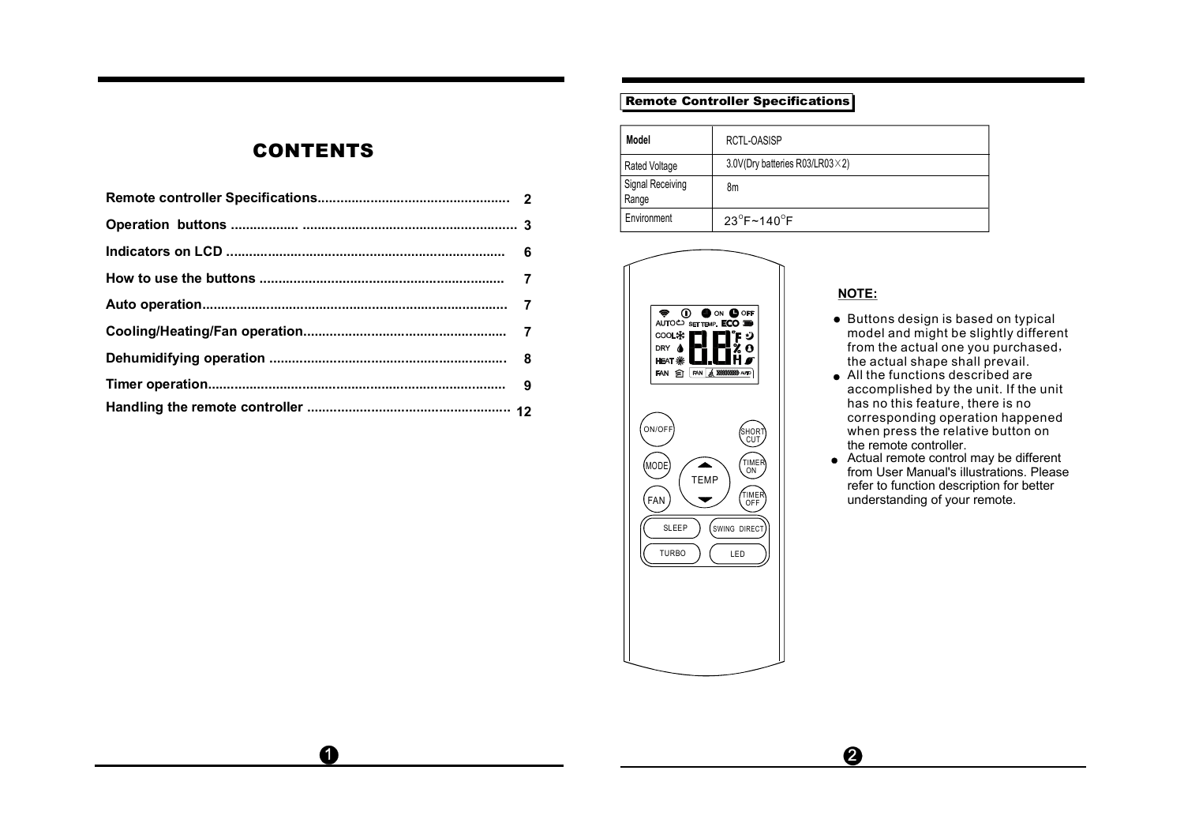# **CONTENTS**

 $\mathbf 0$ 

# Remote Controller Specifications

| Model                     | RCTL-OASISP                             |  |  |
|---------------------------|-----------------------------------------|--|--|
| Rated Voltage             | 3.0V(Dry batteries R03/LR03 $\times$ 2) |  |  |
| Signal Receiving<br>Range | 8m                                      |  |  |
| Environment               | $23^{\circ}$ F~140 $^{\circ}$ F         |  |  |





# **NOTE:**

- $\bullet$  Buttons design is based on typical model and might be slightly different from the actual one you purchased, the actual shape shall prevail.
- All the functions described are accomplished by the unit. If the unit has no this feature, there is no corresponding operation happened when press the relative button on the remote controller.
- Actual remote control may be different from User Manual's illustrations. Please refer to function description for better understanding of your remote.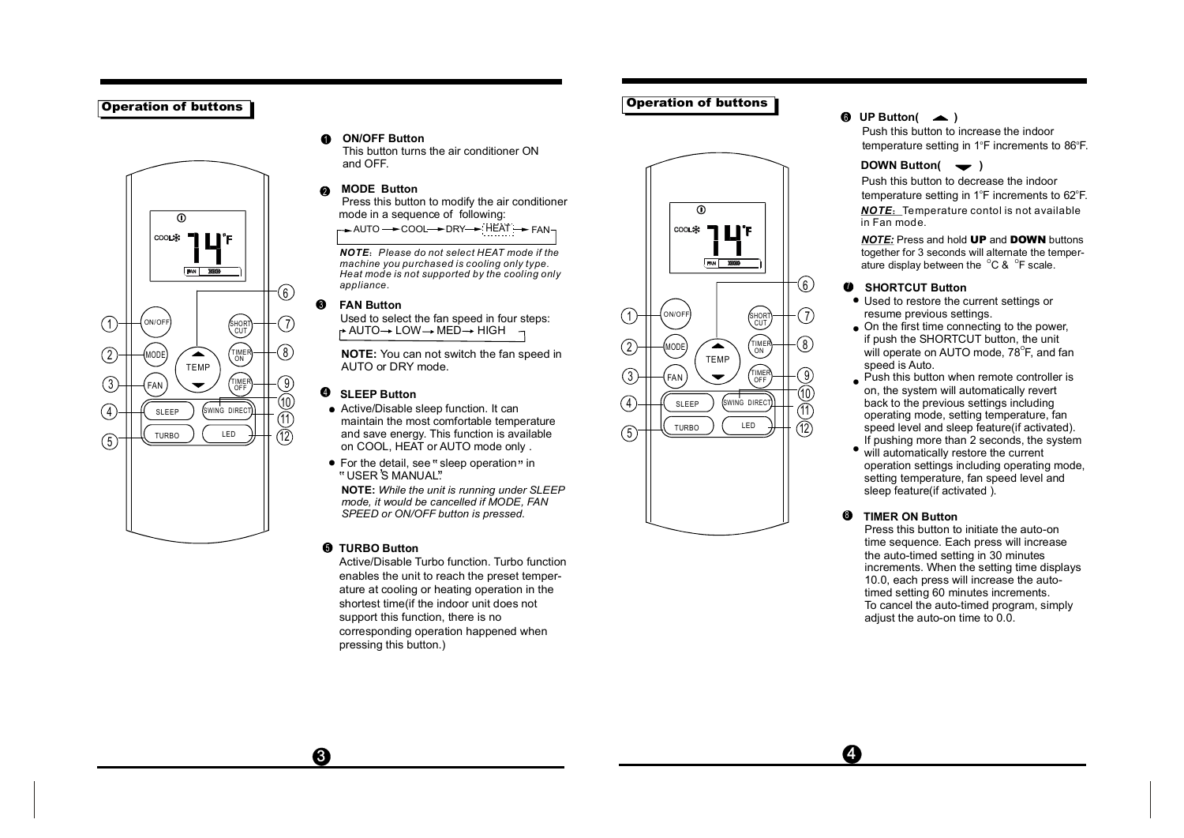# Operation of buttons



### **ON/OFF Button**  $\bullet$ This button turns the air conditioner ON

and OFF.

# 1<br>2  $\bullet$ **MODE Button**

Press this button to modify the air conditioner mode in a sequence of following:  $\rightarrow$  AUTO  $\rightarrow$  COOL  $\rightarrow$  DRY  $\rightarrow$  HEAT  $\rightarrow$  FAN-

*NOTE* :*Please do not select HEAT mode if the machine you pu rchased is cooling only type. Heat mode is not supported by the cooling only appliance.*

### $\Omega$ **FAN Button**

Used to select the fan speed in four steps:  $\rightarrow$  AUTO $\rightarrow$  LOW $\rightarrow$  MED $\rightarrow$  HIGH  $\rightarrow$ 

**NOTE:** You can not switch the fan speed in AUTO or DRY mode.

# **SLEEP Button**

- 4<br>5<br>5  $\overline{\text{AD}}$  **SLEEP Button**<br>
• Active/Disable sleep function. It can  $\overline{4}$   $\overline{4}$   $\overline{3}$   $\overline{4}$   $\overline{9}$   $\overline{8}$   $\overline{9}$   $\overline{8}$   $\overline{9}$   $\overline{10}$   $\overline{11}$ • Active/Disable sleep function. It can<br>
maintain the most comfortable temperature  $\frac{12}{2}$  and save energy. This function is available  $\frac{12}{2}$ on COOL, HEAT or AUTO mode only .
	- For the detail, see " sleep operation" in For the detail, see " s<br>" USER 'S MANUAL".

**NOTE:** *While the unit is running under SLEEP mode, it would be cancelled if MODE, FAN SPEED or ON/OFF button is pressed.*

# **TURBO Button**

❸

Active/Disable Turbo function. Turbo function enables the unit to reach the preset temperature at cooling or heating operation in the shortest time(if the indoor unit does not support this function, there is no corresponding operation happened when pressing this button.)

Push this button to decrease the indoor temperature setting in  $1^\circ$ F increments to 62 $^\circ$ F. **DOWN Button(**  $\rightarrow$  )

Push this button to increase the indoor temperature setting in  $1^\circ$ F increments to  $86^\circ$ F.

*NOTE* :Tempe rature contol is not available in Fan mode.

<u>*NOTE:*</u> Press and hold UP and DOWN buttons together for 3 seconds will alternate the temperature display between the  $^{\circ}$ C &  $^{\circ}$ F scale.

# **<sup>6</sup>** SHORTCUT Button

**1** UP Button(  $\blacktriangle$  )

- Used to restore the current settings or resume previous settings.
- On the first time connecting to the power, if push the SHORTCUT button, the unit will operate on AUTO mode, 78 $^{\circ}$ F, and fan speed is Auto.
- Push this button when remote controller is on, the system will automatically revert back to the previous settings including operating mode, setting temperature, fan speed level and sleep feature(if activated). If pushing more than 2 seconds, the system
- will automatically restore the current operation settings including operating mode, setting temperature, fan speed level and sleep feature (if activated ).

# $Q$  TIMER ON Button 8<br>8<br>7

Press this button to initiate the auto-on time sequence. Each press will increase the auto-timed setting in 30 minutes increments. When the setting time displays 10.0, each press will increase the autotimed setting 60 minutes increments. To cancel the auto-timed program, simply adjust the auto-on time to 0.0.

 $\odot$ 

coo∟‡c

Operation of buttons

MODE

ON/OFF

1

2

3

4

 $(5)$ 

TEMP

 $\overline{\phantom{0}}$ 

◚

FAN **EXIDE** 

SHURI<br>\CUT

7

 $\left( 6\right)$ 

 $\left( 8\right)$ 

์ 9

TIMER ON

TIMER OFF

SWING DIREC

LED

FAN

SLEEP

TURBO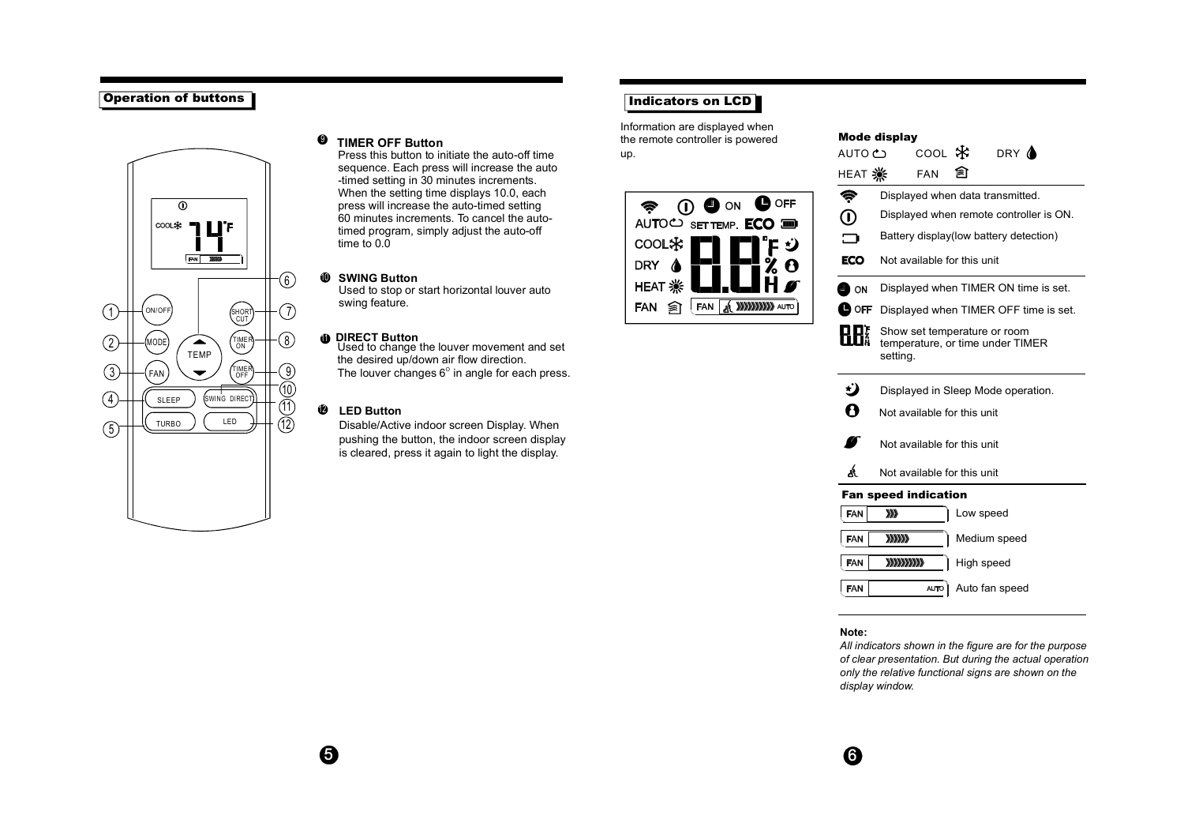# Operation of buttons



# $Q$  TIMER OFF Button

Press this button to initiate the auto-off time sequence. Each press will increase the auto -timed setting in 30 minutes increments. When the setting time displays 10.0, each press will increase the auto-timed setting 60 minutes increments. To cancel the autotimed program, simply adjust the auto-off time to  $0.\overline{0}$ 

# 10 **SWING Button**

Used to stop or start horizontal louver auto swing feature.

**DIRECT Button**<br>Used to change the louver movement and set the desired up/down air flow direction. The louver changes  $6^\circ$  in angle for each press.

# 12 **LED Button**

Disable/Active indoor screen Display. When pushing the button, the indoor screen display is cleared, press it again to light the display.

# Indicators on LCD

Information are displayed when the remote controller is powered up.



| AUTO <del>C</del>           | соо∟ *≵                                                                      |           | DRY <b>A</b> |  |  |  |
|-----------------------------|------------------------------------------------------------------------------|-----------|--------------|--|--|--|
|                             | <b>FAN</b>                                                                   | ଛা        |              |  |  |  |
| Ç                           | Displayed when data transmitted.                                             |           |              |  |  |  |
| ⓪                           | Displayed when remote controller is ON.                                      |           |              |  |  |  |
| ∍                           | Battery display(low battery detection)                                       |           |              |  |  |  |
| ECO                         | Not available for this unit                                                  |           |              |  |  |  |
| ON L                        | Displayed when TIMER ON time is set.                                         |           |              |  |  |  |
| <b>D</b> OFF                | Displayed when TIMER OFF time is set.                                        |           |              |  |  |  |
|                             | Show set temperature or room<br>temperature, or time under TIMER<br>setting. |           |              |  |  |  |
| ن                           | Displayed in Sleep Mode operation.                                           |           |              |  |  |  |
| 0                           | Not available for this unit                                                  |           |              |  |  |  |
|                             | Not available for this unit                                                  |           |              |  |  |  |
| Á                           | Not available for this unit                                                  |           |              |  |  |  |
| <b>Fan speed indication</b> |                                                                              |           |              |  |  |  |
| FAN                         | XX)                                                                          | Low speed |              |  |  |  |
| <b>FAN</b>                  | 333333                                                                       |           | Medium speed |  |  |  |

Mode display

FAN **XXXXXXXX** High speed **FAN** 

AUTO Auto fan speed

## **Note:**

*All indicators shown in the figure are for the purpose of clear presentation. But during the actual operation only the relative functional signs are shown on the display window.*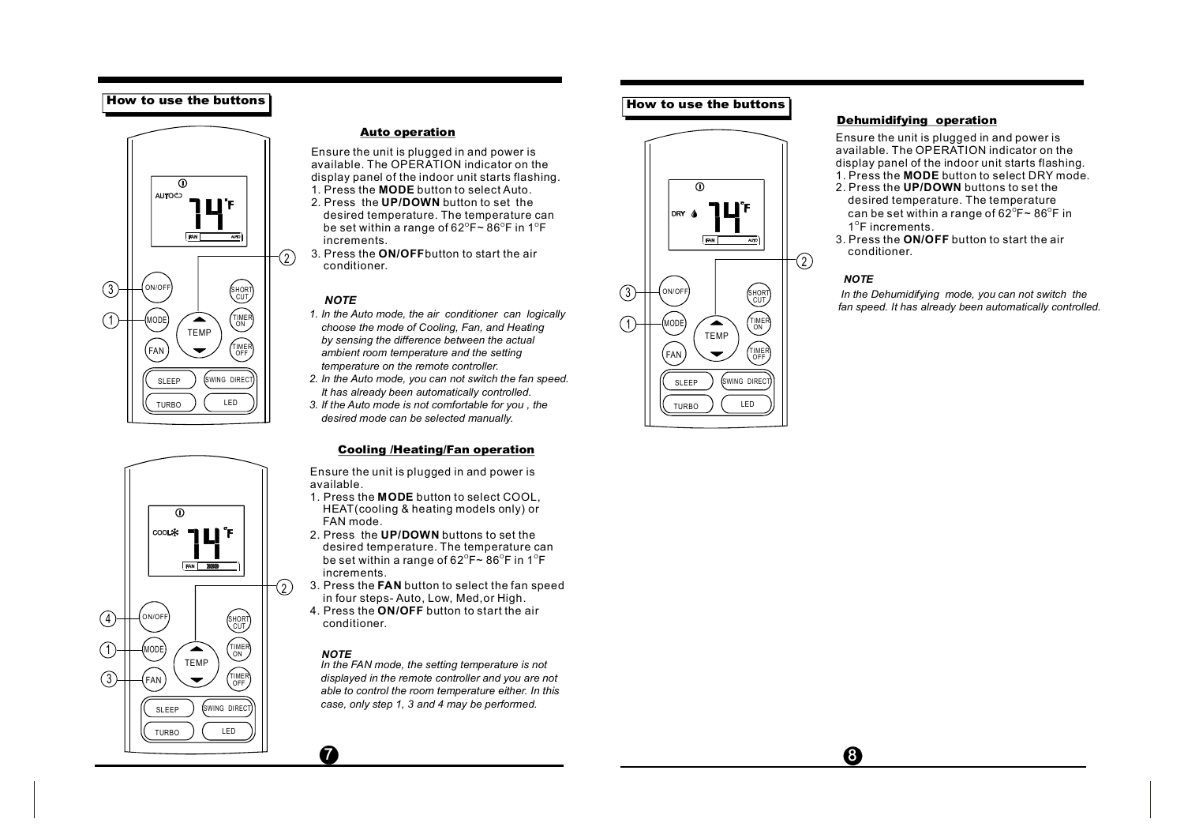# How to use the buttons





## Auto operation

1. Press the **MODE** button to select Auto. Ensure the unit is plugged in and power is available. The OPERATION indicator on the display panel of the indoor unit starts flashing.

- 2. Press the **UP/DOWN** button to set the desired temperature. The temperature can be set within a range of 62 $^{\circ}$ F $\sim$  86 $^{\circ}$ F in 1 $^{\circ}$ F increments.
- 3. Press the **ON/OFF** button to start the air conditioner.

# *NOTE*

- *1. In the Auto mode, the air conditioner can logically choose the mode of Cooling, Fan, and Heating by sensing the difference between the actual ambient room temperature and the setting temperature on the remote controller.*
- *2. In the Auto mode, you can not switch the fan speed.* SLEEP SLEEP SWING DIRECT SWING DIRECT *It has already been automatically controlled.*
- TURBO )  $\left($  LED ) || 3. If the Auto mode is not comfortable for you , the  $\left| \right|$  ( $\left($  TURBO )  $\left($  LED *desired mode can be selected manually.*

# Cooling /Heating/Fan operation

Ensure the unit is plugged in and power is available.

- **MODE** 1. Press the button to select COOL, HEAT(cooling & heating models only) or FAN mode.
- 2. Press the **UP/DOWN** buttons to set the desired temperature. The temperature can be set within a range of 62 $^{\circ}$ F $\sim$  86 $^{\circ}$ F in 1 $^{\circ}$ F increments.
- 3. Press the **FAN** button to select the fan speed in four steps- Auto, Low, Med,or High.
- 4. Press the **ON/OFF** button to start the air conditioner.

# *NOTE*

 $\boldsymbol{a}$ 

*In the FAN mode, the setting temperature is not displayed in the remote controller and you are not able to control the room temperature either. In this case, only step 1, 3 and 4 may be performed.*

# How to use the buttons



# Dehumidifying operation

1. Press the **MODE** button to select DRY mode. Ensure the unit is plugged in and power is available. The OPERATION indicator on the display panel of the indoor unit starts flashing.

- 2. Press the **UP/DOWN** buttons to set the desired temperature. The temperature can be set within a range of 62 $^{\circ}$ F $\sim$  86 $^{\circ}$ F in  $1^{\circ}$ F increments.
- 3. Press the **ON/OFF** button to start the air conditioner.

# *NOTE*

0

*In the Dehumidifying mode, you can not switch the fan speed. It has already been automatically controlled.*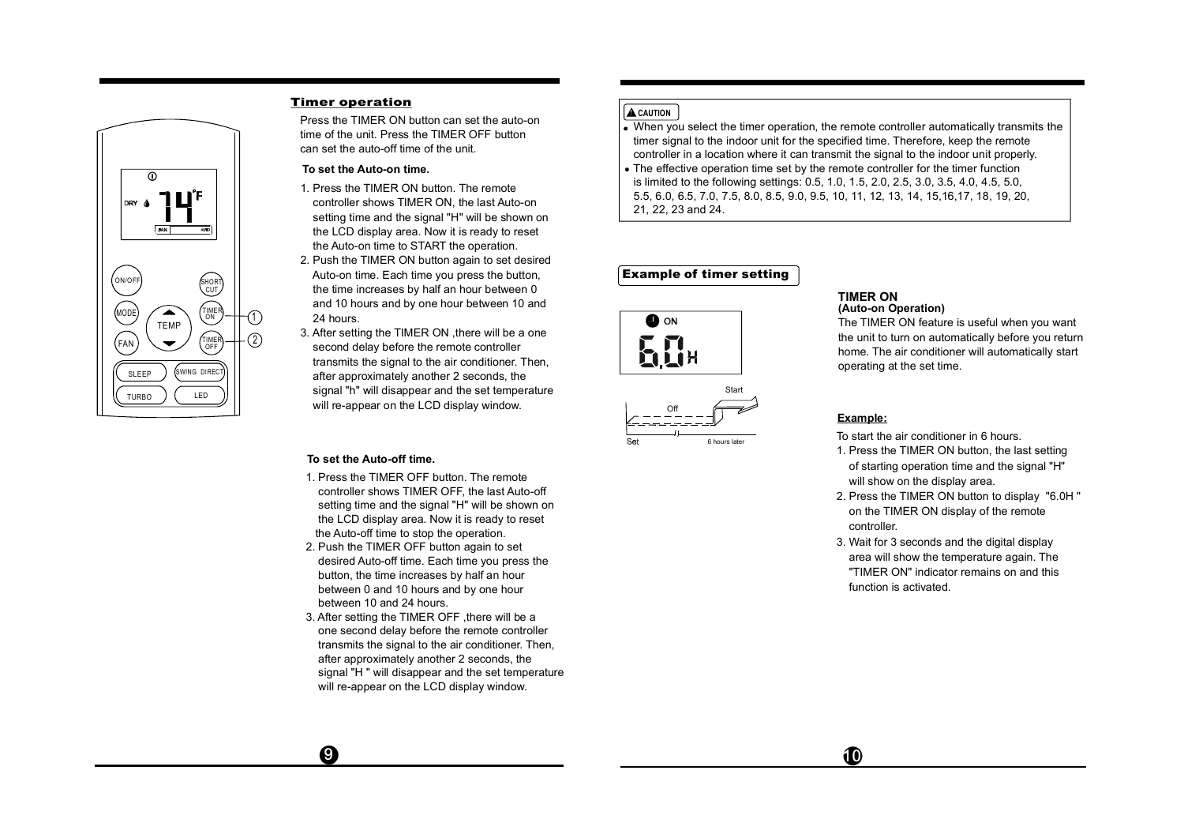

# Timer operation

Press the TIMER ON button can set the auto-on time of the unit. Press the TIMER OFF button can set the auto-off time of the unit.

## **To set the Auto-on time.**

- 1. Press the TIMER ON button. The remote controller shows TIMER ON, the last Auto-on setting time and the signal "H" will be shown on the LCD display area. Now it is ready to reset the Auto-on time to START the operation.
- 2. Push the TIMER ON button again to set desired Auto-on time. Each time you press the button, the time increases by half an hour between 0 and 10 hours and by one hour between 10 and 24 hours.
- 3. After setting the TIMER ON ,there will be a one second delay before the remote controller transmits the signal to the air conditioner. Then, after approximately another 2 seconds, the signal "h" will disappear and the set temperature will re-appear on the LCD display window.

# **To set the Auto-off time.**

 $\boldsymbol{\Theta}$ 

- 1. Press the TIMER OFF button. The remote controller shows TIMER OFF, the last Auto-off setting time and the signal "H" will be shown on the LCD display area. Now it is ready to reset the Auto-off time to stop the operation.
- 2. Push the TIMER OFF button again to set desired Auto-off time. Each time you press the button, the time increases by half an hour between 0 and 10 hours and by one hour between 10 and 24 hours.
- 3. After setting the TIMER OFF ,there will be a one second delay before the remote controller transmits the signal to the air conditioner. Then, after approximately another 2 seconds, the signal "H " will disappear and the set temperature will re-appear on the LCD display window.

# **A** CAUTION

- When you select the timer operation, the remote controller automatically transmits the timer signal to the indoor unit for the specified time. Therefore, keep the remote controller in a location where it can transmit the signal to the indoor unit properly.
- The effective operation time set by the remote controller for the timer function is limited to the following settings: 0.5, 1.0, 1.5, 2.0, 2.5, 3.0, 3.5, 4.0, 4.5, 5.0, 5.5, 6.0, 6.5, 7.0, 7.5, 8.0, 8.5, 9.0, 9.5, 10, 11, 12, 13, 14, 15,16,17, 18, 19, 20, 21, 22, 23 and 24.

# Example of timer setting





# **TIMER ON**

**(Auto-on Operation)**

The TIMER ON feature is useful when you want the unit to turn on automatically before you return home. The air conditioner will automatically start operating at the set time.

# **Example:**

 $\bf \Phi$ 

To start the air conditioner in 6 hours.

- 1. Press the TIMER ON button, the last setting of starting operation time and the signal "H" will show on the display area.
- 2. Press the TIMER ON button to display "6.0H " on the TIMER ON display of the remote controller.
- 3. Wait for 3 seconds and the digital display area will show the temperature again. The "TIMER ON" indicator remains on and this function is activated.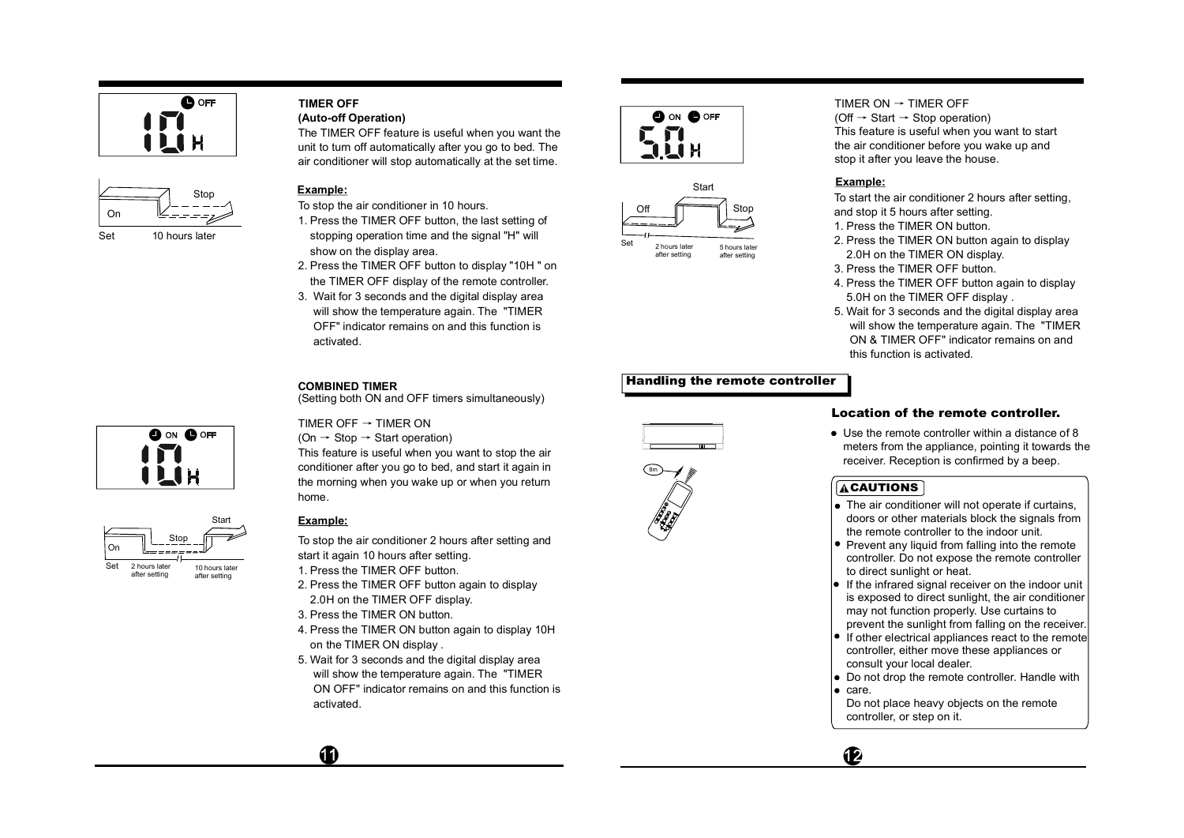



## **(Auto-off Operation) TIMER OFF**

The TIMER OFF feature is useful when you want the unit to turn off automatically after you go to bed. The air conditioner will stop automatically at the set time.

# **Example:**

- To stop the air conditioner in 10 hours.
- 1. Press the TIMER OFF button, the last setting of stopping operation time and the signal "H" will show on the display area.
- 2. Press the TIMER OFF button to display "10H " on the TIMER OFF display of the remote controller.
- 3. Wait for 3 seconds and the digital display area will show the temperature again. The "TIMER OFF" indicator remains on and this function is activated.

# **COMBINED TIMER**

TIMER OFF  $\rightarrow$  TIMER ON  $(On \rightarrow Stop \rightarrow Start operation)$ 

(Setting both ON and OFF timers simultaneously)

This feature is useful when you want to stop the air

**OO** ON **OOFF** 

conditioner after you go to bed, and start it again in the morning when you wake up or when you return home.



# **Example:**

4

To stop the air conditioner 2 hours after setting and start it again 10 hours after setting.

- 1. Press the TIMER OFF button.
- 2. Press the TIMER OFF button again to display 2.0H on the TIMER OFF display.
- 3. Press the TIMER ON button.
- 4. Press the TIMER ON button again to display 10H on the TIMER ON display .
- 5. Wait for 3 seconds and the digital display area will show the temperature again. The "TIMER ON OFF" indicator remains on and this function is activated.





TIMER ON  $\rightarrow$  TIMER OFF (Off  $\rightarrow$  Start  $\rightarrow$  Stop operation) This feature is useful when you want to start the air conditioner before you wake up and stop it after you leave the house.

# **Example:**

To start the air conditioner 2 hours after setting, and stop it 5 hours after setting.

- 1. Press the TIMER ON button.
- 2. Press the TIMER ON button again to display 2.0H on the TIMER ON display.
- 3. Press the TIMER OFF button.
- 4. Press the TIMER OFF button again to display 5.0H on the TIMER OFF display .
- 5. Wait for 3 seconds and the digital display area will show the temperature again. The "TIMER ON & TIMER OFF" indicator remains on and this function is activated.

# Handling the remote controller





# Location of the remote controller.

Use the remote controller within a distance of 8 meters from the appliance, pointing it towards the receiver. Reception is confirmed by a beep.

# **ACAUTIONS**

- The air conditioner will not operate if curtains, doors or other materials block the signals from the remote controller to the indoor unit.
- Prevent any liquid from falling into the remote controller. Do not expose the remote controller to direct sunlight or heat.
- If the infrared signal receiver on the indoor unit is exposed to direct sunlight, the air conditioner may not function properly. Use curtains to prevent the sunlight from falling on the receiver.
- If other electrical appliances react to the remote controller, either move these appliances or consult your local dealer.
- Do not drop the remote controller. Handle with  $e$  care.
- Do not place heavy objects on the remote controller, or step on it.